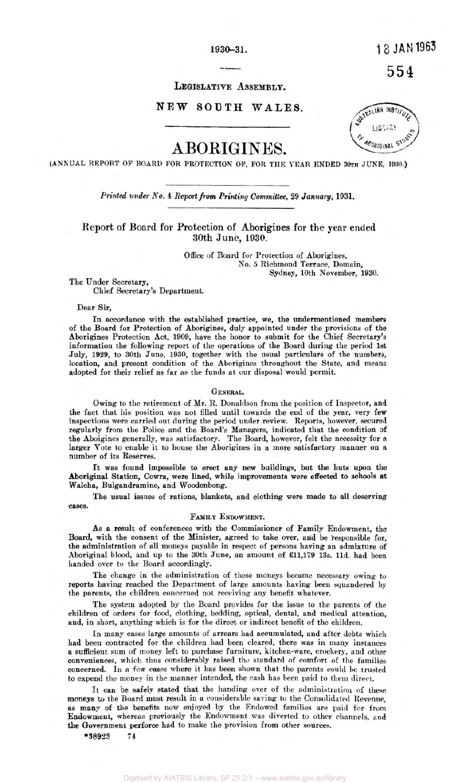**1 930-3 1.** 1 8 **JAN** 1963

554

**LEGISLATIVE ASSEMBLY.** 

# NEW SOUTH WALES.



**(ANNUAL REPORT OF BOARD** FOR **PROTECTION OF, FOR THE TEAR ENDED 30TH JUNE, 1930.)** 

*Printed under* **No. 4** *Report from Printing Committee,* **29** *January,* **1931.** 

**Report of Board for Protection of Aborigines for the gear ended 30th June, 1930.** 

> Office of Board for Protection of Aborigines, No. *5* Richmond Terrace, Domain, Sydney, 10th November, 1930.

The Under Secretary, Chief Secretary's Department.

#### Dear Sir,

**In** accordance with the established practice, we, the undermentioned members of the Board for Protection of Aborigines, duly appointed under the provisions of the Aborigines Protection Act, 1909, have the honor to submit for the Chief Secretary's information the following report of the operations of the Board during the period 1st July, 1929, to 30th June, 1930, together with the usual particulars of the numbers, location, and present condition of the Aborigines throughout the State, and means adopted for their relief as far as the funds at our disposal would permit.

#### GENERAL.

Owing to the retirement of Mr. R. Donaldson from the position of Inspector, and the fact that his position was not filled until towards the end of the year, very few inspections were carried out during the period under review. Reports, however, secured regularly from the Police and the Board's Managers, indicated that the condition of the Aboigines generally, was satisfactory. The Board, however, felt the necessity for a larger Vote to enable it to house the Aborigines in a more satisfactory manner on a number of its Reserves.

It was found impossible to erect any new buildings, but the huts upon the **Aboriginal** Station, Cowra, were lined, while improvements were effected to **schools** at Walcha, Bulgandramine, and Woodenbong.

The usual **issues** of rations, blankets, and clothing were made to all deserving cases.

#### **FAMILY** ENDOWMENT.

As a result of conferences with the Commissioner of Family Endowment, the Board, with the consent of the Minister, agreed to take over, and be responsible for, the administration of all moneys payable in respect of persons having an admixture of Aboriginal blood, and up to the 30th June, an amount of £11,179 13s. 11d. had been handed over to the Board accordingly.

The change in the administration of these moneys became necessary owing to reports having reached the Department of large amounts having been squandered by the parents, the children concerned not receiving any benefit whatever.

The system adopted by the Board provides for the issue to the parents of the children of orders for food, clothing, bedding, optical, dental, and medical attention, and, in short, anything which is for the direct or indirect benefit of the children.

In many cases large amounts of arrears had accumulated, and after debts which had been contracted for the children had been cleared, there was in many instances a sufficient sum of money left to purchase furniture, kitchen-ware, crockery, and other conveniences, which thus considerably raised the standard of comfort of the families concerned. In a few cases where it has been shown that the parents could be trusted to expend the money in the manner intended, the cash has been paid to them direct.

It can be safely stated that the handing over of the administration of these moneys to the Board must result in a considerable saving to the Consolidated Revenue, as many of the benefits now enjoyed by the Endowed families are paid for from Endowment, whereas previously the Endowment was diverted to other channels, and the Government perforce had to make the provision from other sources.

**\*38923 74** 

# ABORIGINES.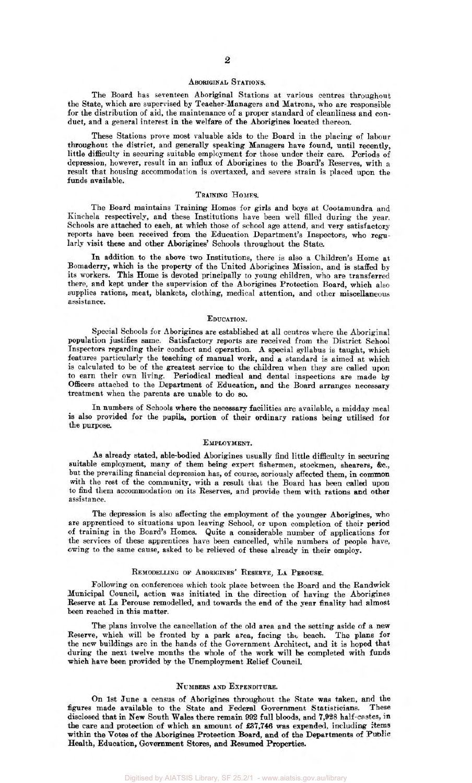### ABORIGINAL STATIONS.

The Board has seventeen Aboriginal Stations at various centres throughout the State, which are supervised by Teacher-Managers and Matrons, who are responsible for the distribution of aid, the maintenance of a proper standard of cleanliness and conduct, and a general interest in the welfare of the Aborigines located thereon.

These Stations prove most valuable aids to the Board in the placing of labour throughout the district, and generally speaking Managers have found, until recently, little difficulty in securing suitable employment for those under their care. Periods of depression, however, result in an influx of Aborigines to the Board's Reserves, with **a**  result that housing accommodation is overtaxed, and severe strain is placed upon the funds available.

#### TRAINING Homes.

The Board maintains Training Homes for girls and boys at Cootamundra and Kinchela respectively, and these Institutions have been well filled during the year. Schools are attached to each, at which those of school age attend, and very satisfactory reports have been received from the Education Department's Inspectors, who regularly visit these and other Aborigines' Schools throughout the State.

In addition to the above two Institutions, there is also a Children's Home at Bomaderry, which is the property of the United Aborigines Mission, and is staffed by its workers. This Home is devoted principally to young children, who are transferred there, and kept under the supervision of the Aborigines Protection Board, which also supplies rations, meat, blankets, clothing, medical attention, and other miscellaneous assistance.

#### EDUCATION.

Special Schools for Aborigines are established at all centres where the Aboriginal population justifies same. Satisfactory reports are received from the District School Inspectors regarding their conduct and operation. A special syllabus is taught, which features particularly the teaching of manual work, and **a** standard is aimed at which is calculated to be of the greatest service to the children when they are called upon to earn their own living. Periodical medical and dental inspections are made by Officers attached to the Department of Education, and the Board arranges necessary treatment when the parents are unable to do so.

In numbers of Schools where the necessary facilities are available, a midday meal is also provided for the pupils, portion of their ordinary rations being utilised for the purpose.

#### EMPLOYMENT.

As already stated, able-bodied Aborigines usually find little difficulty in securing suitable employment, many of them being **expert** fishermen, stockmen, shearers, &c., but the prevailing financial depression has, of course, seriously affected them, in common with the rest of the community, with a result that the Board has **been** called upon to find them accommodation on its Reserves, and provide them with rations **and** other assistance.

The depression is also affecting the employment of the younger Aborigines, who are apprenticed to situations upon leaving School, or upon completion of their period of training in the Board's Homes. Quite a considerable number of applications for the services of these apprentices have been cancelled, while numbers of people have, owing to the same cause, asked to be relieved of these already in their employ.

#### REMODELLING **OF** ABORIGINES' RESERVE, LA PEROUSE.

Following on conferences which took place between the Board and the Randwick Municipal Council, action was initiated in the direction of having the Aborigines Reserve at La Perouse remodelled, and towards the end of the year finality had almost been reached in this matter.

The plans involve the cancellation of the old area and the setting aside of **a new**  Reserve, which will be fronted by a park area, facing the beach. The plans for the new buildings are in the hands of the Government Architect, and it is hoped that during the next twelve months the whole of the work will be completed with funds which have **been** provided by the Unemployment Relief Council.

#### NUMBERS **AND** EXPENDITURE.

On 1st June a census of Aborigines throughout the State was taken, and the figures made available to the State and Federal Government Statisticians. These disclosed that in New South Wales there remain **992** full bloods, and **7,928** half-castes, in the care and protection of which an amount **of £37,746 was** expended, including items within the Votes of the Aborigines Protection Board, and of the Departments *of* Public Health, Education, Government Stores, and Resumed **Properties.**